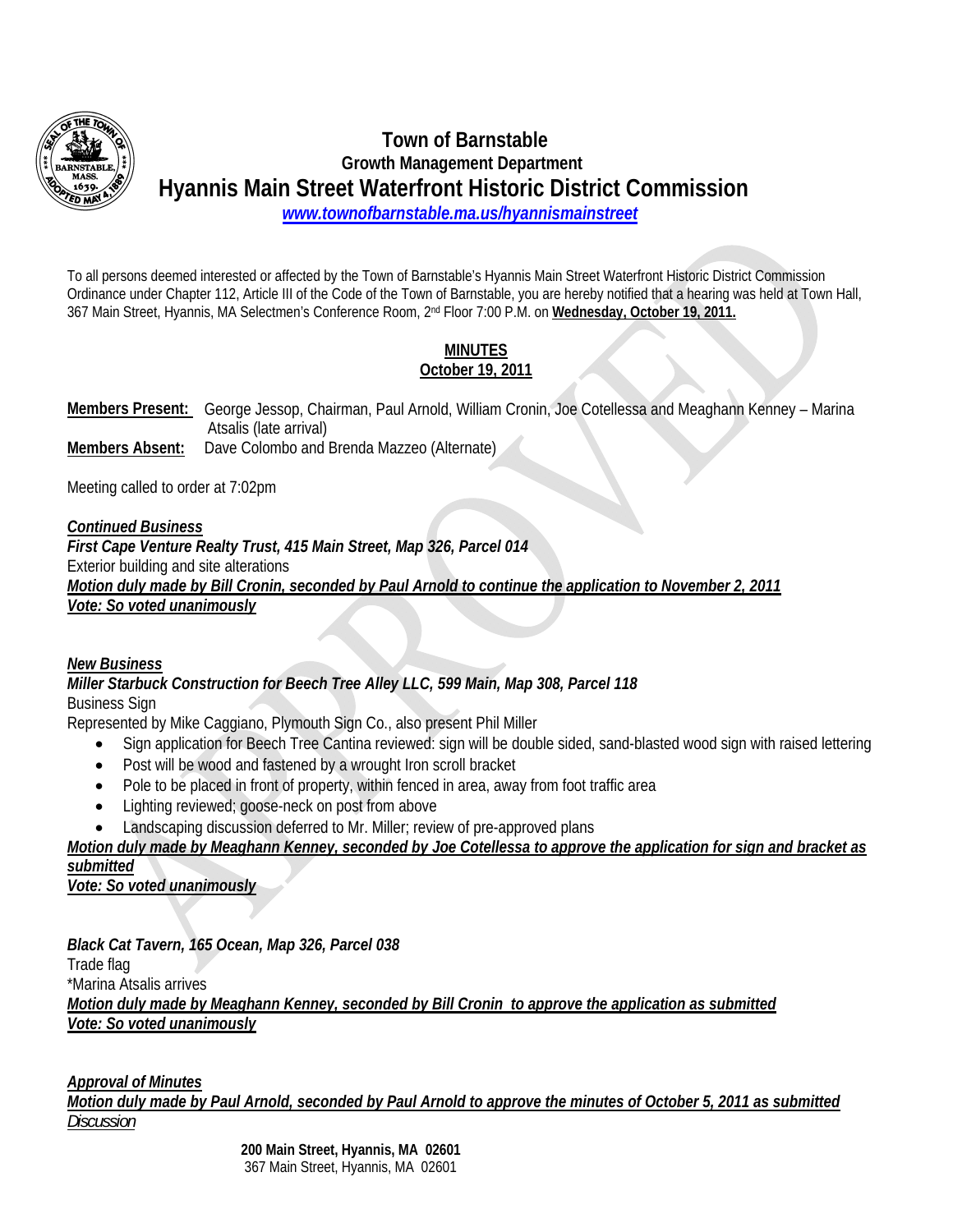

# **Town of Barnstable Growth Management Department Hyannis Main Street Waterfront Historic District Commission** *www.townofbarnstable.ma.us/hyannismainstreet*

To all persons deemed interested or affected by the Town of Barnstable's Hyannis Main Street Waterfront Historic District Commission Ordinance under Chapter 112, Article III of the Code of the Town of Barnstable, you are hereby notified that a hearing was held at Town Hall, 367 Main Street, Hyannis, MA Selectmen's Conference Room, 2nd Floor 7:00 P.M. on **Wednesday, October 19, 2011.**

## **MINUTES October 19, 2011**

**Members Present:** George Jessop, Chairman, Paul Arnold, William Cronin, Joe Cotellessa and Meaghann Kenney – Marina Atsalis (late arrival) **Members Absent:** Dave Colombo and Brenda Mazzeo (Alternate)

Meeting called to order at 7:02pm

### *Continued Business*

*First Cape Venture Realty Trust, 415 Main Street, Map 326, Parcel 014*  Exterior building and site alterations *Motion duly made by Bill Cronin, seconded by Paul Arnold to continue the application to November 2, 2011 Vote: So voted unanimously*

#### *New Business*

*Miller Starbuck Construction for Beech Tree Alley LLC, 599 Main, Map 308, Parcel 118*  Business Sign

Represented by Mike Caggiano, Plymouth Sign Co., also present Phil Miller

- Sign application for Beech Tree Cantina reviewed: sign will be double sided, sand-blasted wood sign with raised lettering
- Post will be wood and fastened by a wrought Iron scroll bracket
- Pole to be placed in front of property, within fenced in area, away from foot traffic area
- Lighting reviewed; goose-neck on post from above
- Landscaping discussion deferred to Mr. Miller; review of pre-approved plans

*Motion duly made by Meaghann Kenney, seconded by Joe Cotellessa to approve the application for sign and bracket as submitted*

*Vote: So voted unanimously*

*Black Cat Tavern, 165 Ocean, Map 326, Parcel 038*  Trade flag \*Marina Atsalis arrives *Motion duly made by Meaghann Kenney, seconded by Bill Cronin to approve the application as submitted Vote: So voted unanimously*

*Approval of Minutes*

*Motion duly made by Paul Arnold, seconded by Paul Arnold to approve the minutes of October 5, 2011 as submitted Discussion*

> **200 Main Street, Hyannis, MA 02601** 367 Main Street, Hyannis, MA 02601